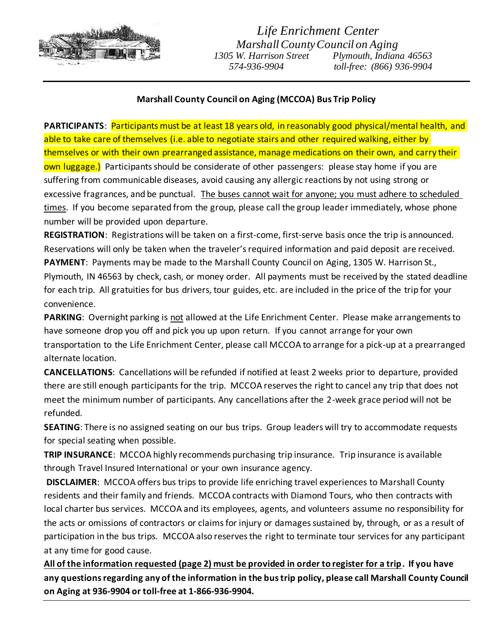

## *Life Enrichment Center Marshall County Council on Aging 1305 W. Harrison Street Plymouth, Indiana 46563 574-936-9904 toll-free: (866) 936-9904*

## **Marshall County Council on Aging (MCCOA) Bus Trip Policy**

**PARTICIPANTS**: Participants must be at least 18 years old, in reasonably good physical/mental health, and able to take care of themselves (i.e. able to negotiate stairs and other required walking, either by themselves or with their own prearranged assistance, manage medications on their own, and carry their own luggage.) Participants should be considerate of other passengers: please stay home if you are suffering from communicable diseases, avoid causing any allergic reactions by not using strong or excessive fragrances, and be punctual. The buses cannot wait for anyone; you must adhere to scheduled times. If you become separated from the group, please call the group leader immediately, whose phone number will be provided upon departure.

**REGISTRATION**: Registrations will be taken on a first-come, first-serve basis once the trip is announced. Reservations will only be taken when the traveler's required information and paid deposit are received. **PAYMENT**: Payments may be made to the Marshall County Council on Aging, 1305 W. Harrison St., Plymouth, IN 46563 by check, cash, or money order. All payments must be received by the stated deadline for each trip. All gratuities for bus drivers, tour guides, etc. are included in the price of the trip for your convenience.

**PARKING**: Overnight parking is not allowed at the Life Enrichment Center. Please make arrangements to have someone drop you off and pick you up upon return. If you cannot arrange for your own transportation to the Life Enrichment Center, please call MCCOA to arrange for a pick-up at a prearranged alternate location.

**CANCELLATIONS**: Cancellations will be refunded if notified at least 2 weeks prior to departure, provided there are still enough participants for the trip. MCCOA reserves the right to cancel any trip that does not meet the minimum number of participants. Any cancellations after the 2-week grace period will not be refunded.

**SEATING**: There is no assigned seating on our bus trips. Group leaders will try to accommodate requests for special seating when possible.

**TRIP INSURANCE**: MCCOA highly recommends purchasing trip insurance. Trip insurance is available through Travel Insured International or your own insurance agency.

**DISCLAIMER**: MCCOA offers bus trips to provide life enriching travel experiences to Marshall County residents and their family and friends. MCCOA contracts with Diamond Tours, who then contracts with local charter bus services. MCCOA and its employees, agents, and volunteers assume no responsibility for the acts or omissions of contractors or claims for injury or damages sustained by, through, or as a result of participation in the bus trips. MCCOA also reserves the right to terminate tour services for any participant at any time for good cause.

**All of the information requested (page 2) must be provided in order to register for a trip. If you have any questions regarding any of the information in the bus trip policy, please call Marshall County Council on Aging at 936-9904 or toll-free at 1-866-936-9904.**